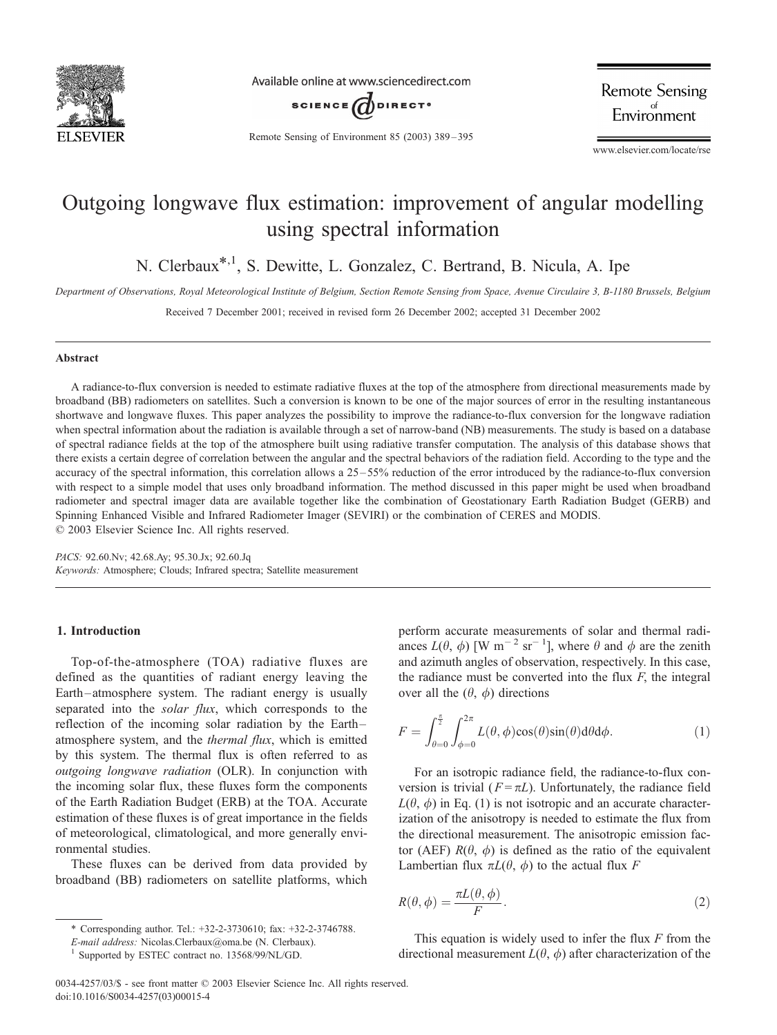

Available online at www.sciencedirect.com



**Remote Sensing** Environment

Remote Sensing of Environment 85 (2003) 389 – 395

www.elsevier.com/locate/rse

# Outgoing longwave flux estimation: improvement of angular modelling using spectral information

N. Clerbaux\*,1, S. Dewitte, L. Gonzalez, C. Bertrand, B. Nicula, A. Ipe

Department of Observations, Royal Meteorological Institute of Belgium, Section Remote Sensing from Space, Avenue Circulaire 3, B-1180 Brussels, Belgium

Received 7 December 2001; received in revised form 26 December 2002; accepted 31 December 2002

### Abstract

A radiance-to-flux conversion is needed to estimate radiative fluxes at the top of the atmosphere from directional measurements made by broadband (BB) radiometers on satellites. Such a conversion is known to be one of the major sources of error in the resulting instantaneous shortwave and longwave fluxes. This paper analyzes the possibility to improve the radiance-to-flux conversion for the longwave radiation when spectral information about the radiation is available through a set of narrow-band (NB) measurements. The study is based on a database of spectral radiance fields at the top of the atmosphere built using radiative transfer computation. The analysis of this database shows that there exists a certain degree of correlation between the angular and the spectral behaviors of the radiation field. According to the type and the accuracy of the spectral information, this correlation allows a 25 – 55% reduction of the error introduced by the radiance-to-flux conversion with respect to a simple model that uses only broadband information. The method discussed in this paper might be used when broadband radiometer and spectral imager data are available together like the combination of Geostationary Earth Radiation Budget (GERB) and Spinning Enhanced Visible and Infrared Radiometer Imager (SEVIRI) or the combination of CERES and MODIS.  $© 2003 Elsevier Science Inc. All rights reserved.$ 

PACS: 92.60.Nv; 42.68.Ay; 95.30.Jx; 92.60.Jq Keywords: Atmosphere; Clouds; Infrared spectra; Satellite measurement

# 1. Introduction

Top-of-the-atmosphere (TOA) radiative fluxes are defined as the quantities of radiant energy leaving the Earth –atmosphere system. The radiant energy is usually separated into the *solar flux*, which corresponds to the reflection of the incoming solar radiation by the Earth – atmosphere system, and the thermal flux, which is emitted by this system. The thermal flux is often referred to as outgoing longwave radiation (OLR). In conjunction with the incoming solar flux, these fluxes form the components of the Earth Radiation Budget (ERB) at the TOA. Accurate estimation of these fluxes is of great importance in the fields of meteorological, climatological, and more generally environmental studies.

These fluxes can be derived from data provided by broadband (BB) radiometers on satellite platforms, which

perform accurate measurements of solar and thermal radiances  $L(\theta, \phi)$  [W m<sup>-2</sup> sr<sup>-1</sup>], where  $\theta$  and  $\phi$  are the zenith and azimuth angles of observation, respectively. In this case, the radiance must be converted into the flux  $F$ , the integral over all the  $(\theta, \phi)$  directions

$$
F = \int_{\theta=0}^{\frac{\pi}{2}} \int_{\phi=0}^{2\pi} L(\theta, \phi) \cos(\theta) \sin(\theta) d\theta d\phi.
$$
 (1)

For an isotropic radiance field, the radiance-to-flux conversion is trivial ( $F = \pi L$ ). Unfortunately, the radiance field  $L(\theta, \phi)$  in Eq. (1) is not isotropic and an accurate characterization of the anisotropy is needed to estimate the flux from the directional measurement. The anisotropic emission factor (AEF)  $R(\theta, \phi)$  is defined as the ratio of the equivalent Lambertian flux  $\pi L(\theta, \phi)$  to the actual flux F

$$
R(\theta, \phi) = \frac{\pi L(\theta, \phi)}{F}.
$$
\n(2)

This equation is widely used to infer the flux  $F$  from the directional measurement  $L(\theta, \phi)$  after characterization of the

<sup>\*</sup> Corresponding author. Tel.: +32-2-3730610; fax: +32-2-3746788.

E-mail address: Nicolas.Clerbaux@oma.be (N. Clerbaux).

<sup>1</sup> Supported by ESTEC contract no. 13568/99/NL/GD.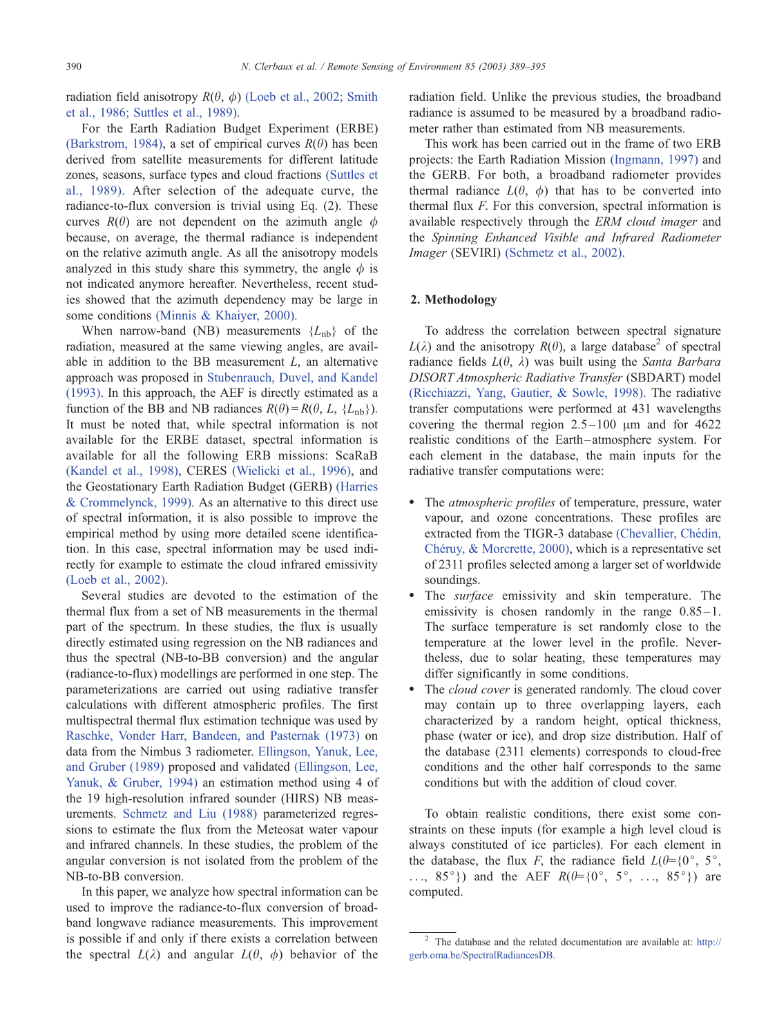radiation field anisotropy  $R(\theta, \phi)$  [\(Loeb et al., 2002; Smith](#page-6-0) et al., 1986; Suttles et al., 1989).

For the Earth Radiation Budget Experiment (ERBE) [\(Barkstrom, 1984\),](#page-5-0) a set of empirical curves  $R(\theta)$  has been derived from satellite measurements for different latitude zones, seasons, surface types and cloud fractions [\(Suttles et](#page-6-0) al., 1989). After selection of the adequate curve, the radiance-to-flux conversion is trivial using Eq. (2). These curves  $R(\theta)$  are not dependent on the azimuth angle  $\phi$ because, on average, the thermal radiance is independent on the relative azimuth angle. As all the anisotropy models analyzed in this study share this symmetry, the angle  $\phi$  is not indicated anymore hereafter. Nevertheless, recent studies showed that the azimuth dependency may be large in some conditions [\(Minnis & Khaiyer, 2000\).](#page-6-0)

When narrow-band (NB) measurements  ${L_{nb}}$  of the radiation, measured at the same viewing angles, are available in addition to the BB measurement  $L$ , an alternative approach was proposed in [Stubenrauch, Duvel, and Kandel](#page-6-0) (1993). In this approach, the AEF is directly estimated as a function of the BB and NB radiances  $R(\theta) = R(\theta, L, \{L_{nb}\})$ . It must be noted that, while spectral information is not available for the ERBE dataset, spectral information is available for all the following ERB missions: ScaRaB [\(Kandel et al., 1998\),](#page-6-0) CERES [\(Wielicki et al., 1996\),](#page-6-0) and the Geostationary Earth Radiation Budget (GERB) [\(Harries](#page-6-0) & Crommelynck, 1999). As an alternative to this direct use of spectral information, it is also possible to improve the empirical method by using more detailed scene identification. In this case, spectral information may be used indirectly for example to estimate the cloud infrared emissivity [\(Loeb et al., 2002\).](#page-6-0)

Several studies are devoted to the estimation of the thermal flux from a set of NB measurements in the thermal part of the spectrum. In these studies, the flux is usually directly estimated using regression on the NB radiances and thus the spectral (NB-to-BB conversion) and the angular (radiance-to-flux) modellings are performed in one step. The parameterizations are carried out using radiative transfer calculations with different atmospheric profiles. The first multispectral thermal flux estimation technique was used by [Raschke, Vonder Harr, Bandeen, and Pasternak \(1973\)](#page-6-0) on data from the Nimbus 3 radiometer. [Ellingson, Yanuk, Lee,](#page-6-0) and Gruber (1989) proposed and validated [\(Ellingson, Lee,](#page-6-0) Yanuk, & Gruber, 1994) an estimation method using 4 of the 19 high-resolution infrared sounder (HIRS) NB measurements. [Schmetz and Liu \(1988\)](#page-6-0) parameterized regressions to estimate the flux from the Meteosat water vapour and infrared channels. In these studies, the problem of the angular conversion is not isolated from the problem of the NB-to-BB conversion.

In this paper, we analyze how spectral information can be used to improve the radiance-to-flux conversion of broadband longwave radiance measurements. This improvement is possible if and only if there exists a correlation between the spectral  $L(\lambda)$  and angular  $L(\theta, \phi)$  behavior of the radiation field. Unlike the previous studies, the broadband radiance is assumed to be measured by a broadband radiometer rather than estimated from NB measurements.

This work has been carried out in the frame of two ERB projects: the Earth Radiation Mission [\(Ingmann, 1997\)](#page-6-0) and the GERB. For both, a broadband radiometer provides thermal radiance  $L(\theta, \phi)$  that has to be converted into thermal flux F. For this conversion, spectral information is available respectively through the ERM cloud imager and the Spinning Enhanced Visible and Infrared Radiometer Imager (SEVIRI) [\(Schmetz et al., 2002\).](#page-6-0)

# 2. Methodology

To address the correlation between spectral signature  $L(\lambda)$  and the anisotropy  $R(\theta)$ , a large database<sup>2</sup> of spectral radiance fields  $L(\theta, \lambda)$  was built using the Santa Barbara DISORT Atmospheric Radiative Transfer (SBDART) model [\(Ricchiazzi, Yang, Gautier, & Sowle, 1998\).](#page-6-0) The radiative transfer computations were performed at 431 wavelengths covering the thermal region  $2.5 - 100 \mu m$  and for 4622 realistic conditions of the Earth –atmosphere system. For each element in the database, the main inputs for the radiative transfer computations were:

- The *atmospheric profiles* of temperature, pressure, water vapour, and ozone concentrations. These profiles are extracted from the TIGR-3 database (Chevallier, Chédin, Chéruy, & Morcrette, 2000), which is a representative set of 2311 profiles selected among a larger set of worldwide soundings.
- The *surface* emissivity and skin temperature. The emissivity is chosen randomly in the range  $0.85-1$ . The surface temperature is set randomly close to the temperature at the lower level in the profile. Nevertheless, due to solar heating, these temperatures may differ significantly in some conditions.
- The *cloud cover* is generated randomly. The cloud cover may contain up to three overlapping layers, each characterized by a random height, optical thickness, phase (water or ice), and drop size distribution. Half of the database (2311 elements) corresponds to cloud-free conditions and the other half corresponds to the same conditions but with the addition of cloud cover.

To obtain realistic conditions, there exist some constraints on these inputs (for example a high level cloud is always constituted of ice particles). For each element in the database, the flux F, the radiance field  $L(\theta={0}^{\circ}, 5^{\circ})$ , ..., 85°}) and the AEF  $R(\theta={0^\circ, 5^\circ, \ldots, 85^\circ})$  are computed.

<sup>2</sup> The database and the related documentation are available at: [http://]( http:\\gerb.oma.be\SpectralRadiancesDB ) gerb.oma.be/SpectralRadiancesDB.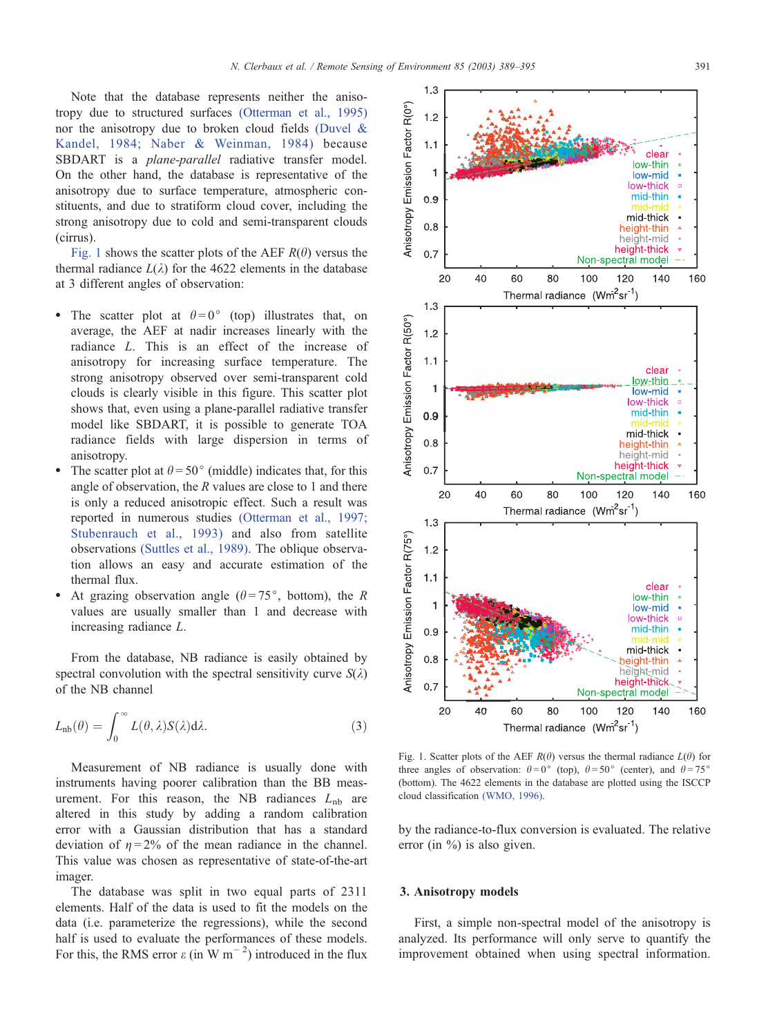<span id="page-2-0"></span>Note that the database represents neither the anisotropy due to structured surfaces [\(Otterman et al., 1995\)](#page-6-0) nor the anisotropy due to broken cloud fields [\(Duvel &](#page-5-0) Kandel, 1984; Naber & Weinman, 1984) because SBDART is a plane-parallel radiative transfer model. On the other hand, the database is representative of the anisotropy due to surface temperature, atmospheric constituents, and due to stratiform cloud cover, including the strong anisotropy due to cold and semi-transparent clouds (cirrus).

Fig. 1 shows the scatter plots of the AEF  $R(\theta)$  versus the thermal radiance  $L(\lambda)$  for the 4622 elements in the database at 3 different angles of observation:

- The scatter plot at  $\theta = 0^{\circ}$  (top) illustrates that, on average, the AEF at nadir increases linearly with the radiance L. This is an effect of the increase of anisotropy for increasing surface temperature. The strong anisotropy observed over semi-transparent cold clouds is clearly visible in this figure. This scatter plot shows that, even using a plane-parallel radiative transfer model like SBDART, it is possible to generate TOA radiance fields with large dispersion in terms of anisotropy.
- The scatter plot at  $\theta = 50^{\circ}$  (middle) indicates that, for this angle of observation, the R values are close to 1 and there is only a reduced anisotropic effect. Such a result was reported in numerous studies [\(Otterman et al., 1997;](#page-6-0) Stubenrauch et al., 1993) and also from satellite observations [\(Suttles et al., 1989\).](#page-6-0) The oblique observation allows an easy and accurate estimation of the thermal flux.
- At grazing observation angle ( $\theta = 75^{\circ}$ , bottom), the R values are usually smaller than 1 and decrease with increasing radiance L.

From the database, NB radiance is easily obtained by spectral convolution with the spectral sensitivity curve  $S(\lambda)$ of the NB channel

$$
L_{\rm nb}(\theta) = \int_0^\infty L(\theta, \lambda) S(\lambda) d\lambda.
$$
 (3)

Measurement of NB radiance is usually done with instruments having poorer calibration than the BB measurement. For this reason, the NB radiances  $L_{\rm nb}$  are altered in this study by adding a random calibration error with a Gaussian distribution that has a standard deviation of  $\eta = 2\%$  of the mean radiance in the channel. This value was chosen as representative of state-of-the-art imager.

The database was split in two equal parts of 2311 elements. Half of the data is used to fit the models on the data (i.e. parameterize the regressions), while the second half is used to evaluate the performances of these models. For this, the RMS error  $\varepsilon$  (in W m<sup>-2</sup>) introduced in the flux



Fig. 1. Scatter plots of the AEF  $R(\theta)$  versus the thermal radiance  $L(\theta)$  for three angles of observation:  $\theta = 0^{\circ}$  (top),  $\theta = 50^{\circ}$  (center), and  $\theta = 75^{\circ}$ (bottom). The 4622 elements in the database are plotted using the ISCCP cloud classification [\(WMO, 1996\).](#page-6-0)

by the radiance-to-flux conversion is evaluated. The relative error (in %) is also given.

## 3. Anisotropy models

First, a simple non-spectral model of the anisotropy is analyzed. Its performance will only serve to quantify the improvement obtained when using spectral information.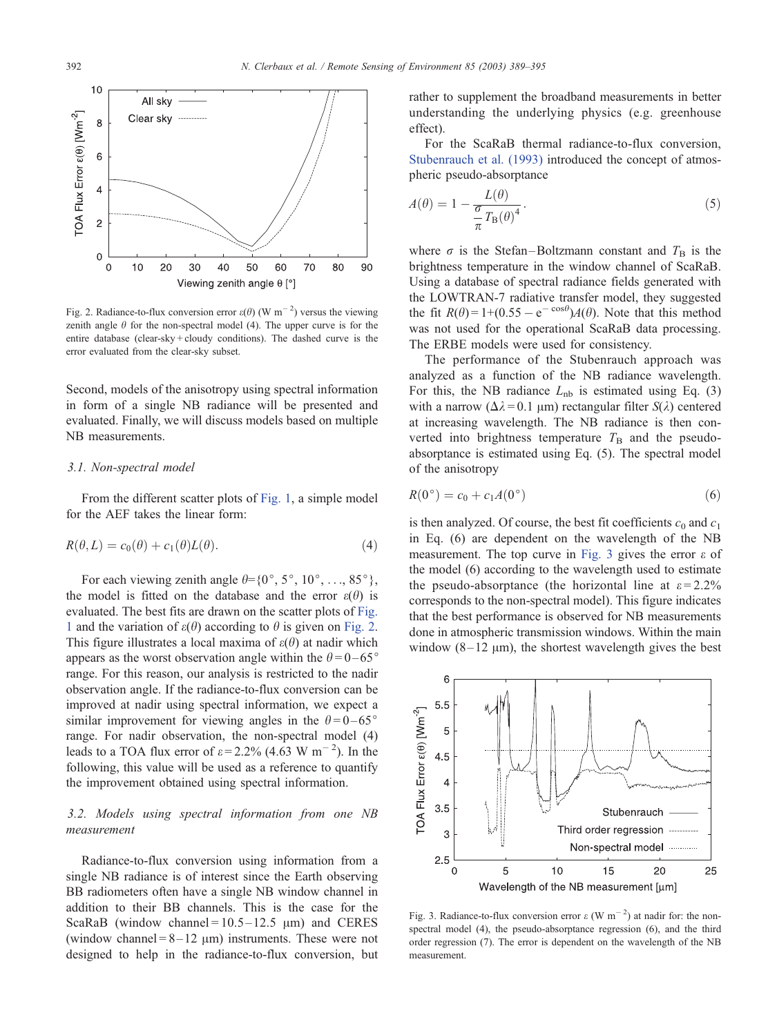<span id="page-3-0"></span>

Fig. 2. Radiance-to-flux conversion error  $\varepsilon(\theta)$  (W m<sup>-2</sup>) versus the viewing zenith angle  $\theta$  for the non-spectral model (4). The upper curve is for the entire database (clear-sky + cloudy conditions). The dashed curve is the error evaluated from the clear-sky subset.

Second, models of the anisotropy using spectral information in form of a single NB radiance will be presented and evaluated. Finally, we will discuss models based on multiple NB measurements.

#### 3.1. Non-spectral model

From the different scatter plots of [Fig. 1,](#page-2-0) a simple model for the AEF takes the linear form:

$$
R(\theta, L) = c_0(\theta) + c_1(\theta)L(\theta). \tag{4}
$$

For each viewing zenith angle  $\theta = \{0^\circ, 5^\circ, 10^\circ, \dots, 85^\circ\}$ , the model is fitted on the database and the error  $\varepsilon(\theta)$  is evaluated. The best fits are drawn on the scatter plots of [Fig.](#page-2-0) 1 and the variation of  $\varepsilon(\theta)$  according to  $\theta$  is given on Fig. 2. This figure illustrates a local maxima of  $\varepsilon(\theta)$  at nadir which appears as the worst observation angle within the  $\theta = 0 - 65^{\circ}$ range. For this reason, our analysis is restricted to the nadir observation angle. If the radiance-to-flux conversion can be improved at nadir using spectral information, we expect a similar improvement for viewing angles in the  $\theta = 0 - 65^{\circ}$ range. For nadir observation, the non-spectral model (4) leads to a TOA flux error of  $\varepsilon$  = 2.2% (4.63 W m<sup>-2</sup>). In the following, this value will be used as a reference to quantify the improvement obtained using spectral information.

# 3.2. Models using spectral information from one NB measurement

Radiance-to-flux conversion using information from a single NB radiance is of interest since the Earth observing BB radiometers often have a single NB window channel in addition to their BB channels. This is the case for the ScaRaB (window channel =  $10.5 - 12.5$  µm) and CERES (window channel =  $8-12 \mu m$ ) instruments. These were not designed to help in the radiance-to-flux conversion, but

rather to supplement the broadband measurements in better understanding the underlying physics (e.g. greenhouse effect).

For the ScaRaB thermal radiance-to-flux conversion, [Stubenrauch et al. \(1993\)](#page-6-0) introduced the concept of atmospheric pseudo-absorptance

$$
A(\theta) = 1 - \frac{L(\theta)}{\frac{\sigma}{\pi} T_{\text{B}}(\theta)^4}.
$$
\n<sup>(5)</sup>

where  $\sigma$  is the Stefan-Boltzmann constant and  $T_B$  is the brightness temperature in the window channel of ScaRaB. Using a database of spectral radiance fields generated with the LOWTRAN-7 radiative transfer model, they suggested the fit  $R(\theta) = 1 + (0.55 - e^{-\cos \theta})A(\theta)$ . Note that this method was not used for the operational ScaRaB data processing. The ERBE models were used for consistency.

The performance of the Stubenrauch approach was analyzed as a function of the NB radiance wavelength. For this, the NB radiance  $L_{\text{nb}}$  is estimated using Eq. (3) with a narrow ( $\Delta \lambda = 0.1 \text{ }\mu\text{m}$ ) rectangular filter  $S(\lambda)$  centered at increasing wavelength. The NB radiance is then converted into brightness temperature  $T<sub>B</sub>$  and the pseudoabsorptance is estimated using Eq. (5). The spectral model of the anisotropy

$$
R(0^{\circ}) = c_0 + c_1 A(0^{\circ})
$$
\n<sup>(6)</sup>

is then analyzed. Of course, the best fit coefficients  $c_0$  and  $c_1$ in Eq. (6) are dependent on the wavelength of the NB measurement. The top curve in Fig. 3 gives the error  $\varepsilon$  of the model (6) according to the wavelength used to estimate the pseudo-absorptance (the horizontal line at  $\varepsilon = 2.2\%$ ) corresponds to the non-spectral model). This figure indicates that the best performance is observed for NB measurements done in atmospheric transmission windows. Within the main window  $(8-12 \mu m)$ , the shortest wavelength gives the best



Fig. 3. Radiance-to-flux conversion error  $\varepsilon$  (W m<sup>-2</sup>) at nadir for: the nonspectral model (4), the pseudo-absorptance regression (6), and the third order regression (7). The error is dependent on the wavelength of the NB measurement.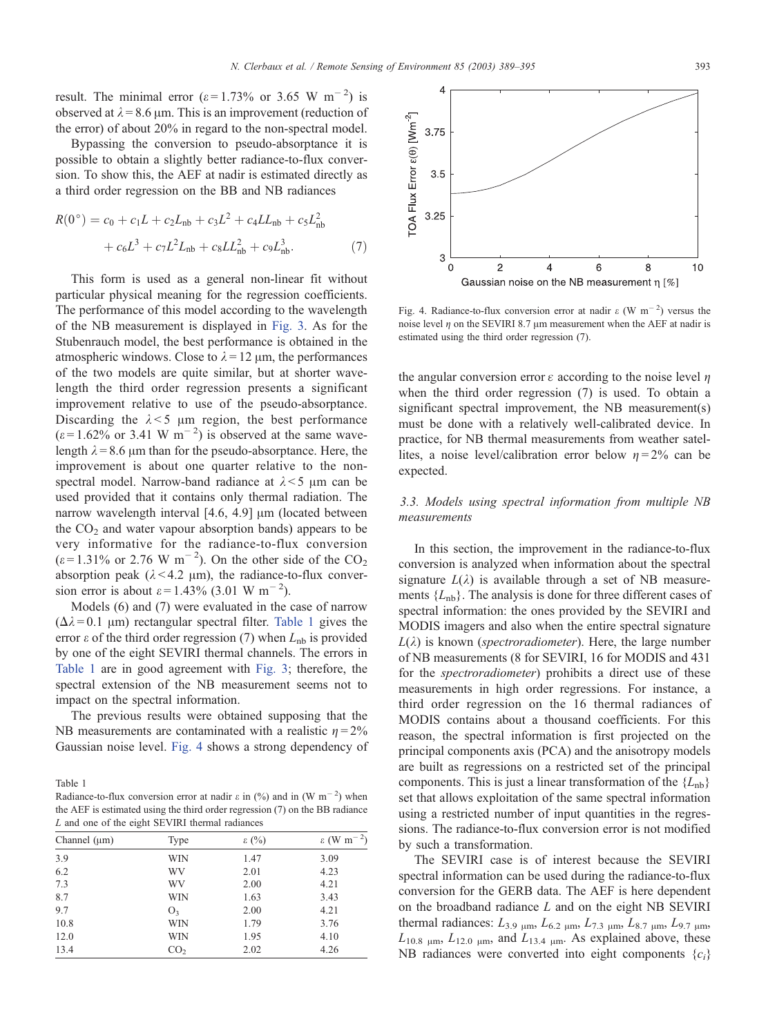result. The minimal error ( $\varepsilon$  = 1.73% or 3.65 W m<sup>-2</sup>) is observed at  $\lambda$  = 8.6 µm. This is an improvement (reduction of the error) of about 20% in regard to the non-spectral model.

Bypassing the conversion to pseudo-absorptance it is possible to obtain a slightly better radiance-to-flux conversion. To show this, the AEF at nadir is estimated directly as a third order regression on the BB and NB radiances

$$
R(0^{\circ}) = c_0 + c_1 L + c_2 L_{\rm nb} + c_3 L^2 + c_4 L L_{\rm nb} + c_5 L_{\rm nb}^2
$$

$$
+ c_6 L^3 + c_7 L^2 L_{\rm nb} + c_8 L L_{\rm nb}^2 + c_9 L_{\rm nb}^3. \tag{7}
$$

This form is used as a general non-linear fit without particular physical meaning for the regression coefficients. The performance of this model according to the wavelength of the NB measurement is displayed in [Fig. 3.](#page-3-0) As for the Stubenrauch model, the best performance is obtained in the atmospheric windows. Close to  $\lambda = 12 \mu m$ , the performances of the two models are quite similar, but at shorter wavelength the third order regression presents a significant improvement relative to use of the pseudo-absorptance. Discarding the  $\lambda < 5$  µm region, the best performance  $(\varepsilon = 1.62\% \text{ or } 3.41 \text{ W m}^{-2})$  is observed at the same wavelength  $\lambda = 8.6$  µm than for the pseudo-absorptance. Here, the improvement is about one quarter relative to the nonspectral model. Narrow-band radiance at  $\lambda$  < 5  $\mu$ m can be used provided that it contains only thermal radiation. The narrow wavelength interval  $[4.6, 4.9]$   $\mu$ m (located between the  $CO<sub>2</sub>$  and water vapour absorption bands) appears to be very informative for the radiance-to-flux conversion  $(\varepsilon = 1.31\% \text{ or } 2.76 \text{ W m}^{-2})$ . On the other side of the CO<sub>2</sub> absorption peak  $(\lambda < 4.2 \mu m)$ , the radiance-to-flux conversion error is about  $\varepsilon = 1.43\%$  (3.01 W m<sup>-2</sup>).

Models (6) and (7) were evaluated in the case of narrow  $(\Delta \lambda = 0.1 \text{ }\mu\text{m})$  rectangular spectral filter. Table 1 gives the error  $\varepsilon$  of the third order regression (7) when  $L_{\rm nb}$  is provided by one of the eight SEVIRI thermal channels. The errors in Table 1 are in good agreement with [Fig. 3;](#page-3-0) therefore, the spectral extension of the NB measurement seems not to impact on the spectral information.

The previous results were obtained supposing that the NB measurements are contaminated with a realistic  $n = 2\%$ Gaussian noise level. Fig. 4 shows a strong dependency of

Table 1

Radiance-to-flux conversion error at nadir  $\varepsilon$  in (%) and in (W m<sup>-2</sup>) when the AEF is estimated using the third order regression (7) on the BB radiance L and one of the eight SEVIRI thermal radiances

| Channel $(\mu m)$ | Type            | $\varepsilon$ (%) | $\varepsilon$ (W m |
|-------------------|-----------------|-------------------|--------------------|
| 3.9               | WIN             | 1.47              | 3.09               |
| 6.2               | WV              | 2.01              | 4.23               |
| 7.3               | WV              | 2.00              | 4.21               |
| 8.7               | WIN             | 1.63              | 3.43               |
| 9.7               | O <sub>3</sub>  | 2.00              | 4.21               |
| 10.8              | WIN             | 1.79              | 3.76               |
| 12.0              | WIN             | 1.95              | 4.10               |
| 13.4              | CO <sub>2</sub> | 2.02              | 4.26               |



Fig. 4. Radiance-to-flux conversion error at nadir  $\varepsilon$  (W m<sup>-2</sup>) versus the noise level  $\eta$  on the SEVIRI 8.7  $\mu$ m measurement when the AEF at nadir is estimated using the third order regression (7).

the angular conversion error  $\varepsilon$  according to the noise level  $\eta$ when the third order regression (7) is used. To obtain a significant spectral improvement, the NB measurement(s) must be done with a relatively well-calibrated device. In practice, for NB thermal measurements from weather satellites, a noise level/calibration error below  $n = 2\%$  can be expected.

# 3.3. Models using spectral information from multiple NB measurements

In this section, the improvement in the radiance-to-flux conversion is analyzed when information about the spectral signature  $L(\lambda)$  is available through a set of NB measurements  ${L_{nb}}$ . The analysis is done for three different cases of spectral information: the ones provided by the SEVIRI and MODIS imagers and also when the entire spectral signature  $L(\lambda)$  is known (*spectroradiometer*). Here, the large number of NB measurements (8 for SEVIRI, 16 for MODIS and 431 for the spectroradiometer) prohibits a direct use of these measurements in high order regressions. For instance, a third order regression on the 16 thermal radiances of MODIS contains about a thousand coefficients. For this reason, the spectral information is first projected on the principal components axis (PCA) and the anisotropy models are built as regressions on a restricted set of the principal components. This is just a linear transformation of the  ${L_{\rm nb}}$ set that allows exploitation of the same spectral information using a restricted number of input quantities in the regressions. The radiance-to-flux conversion error is not modified by such a transformation.

The SEVIRI case is of interest because the SEVIRI spectral information can be used during the radiance-to-flux conversion for the GERB data. The AEF is here dependent on the broadband radiance  $L$  and on the eight NB SEVIRI thermal radiances:  $L_{3.9 \mu m}$ ,  $L_{6.2 \mu m}$ ,  $L_{7.3 \mu m}$ ,  $L_{8.7 \mu m}$ ,  $L_{9.7 \mu m}$ ,  $L_{10.8 \mu m}$ ,  $L_{12.0 \mu m}$ , and  $L_{13.4 \mu m}$ . As explained above, these NB radiances were converted into eight components  ${c_i}$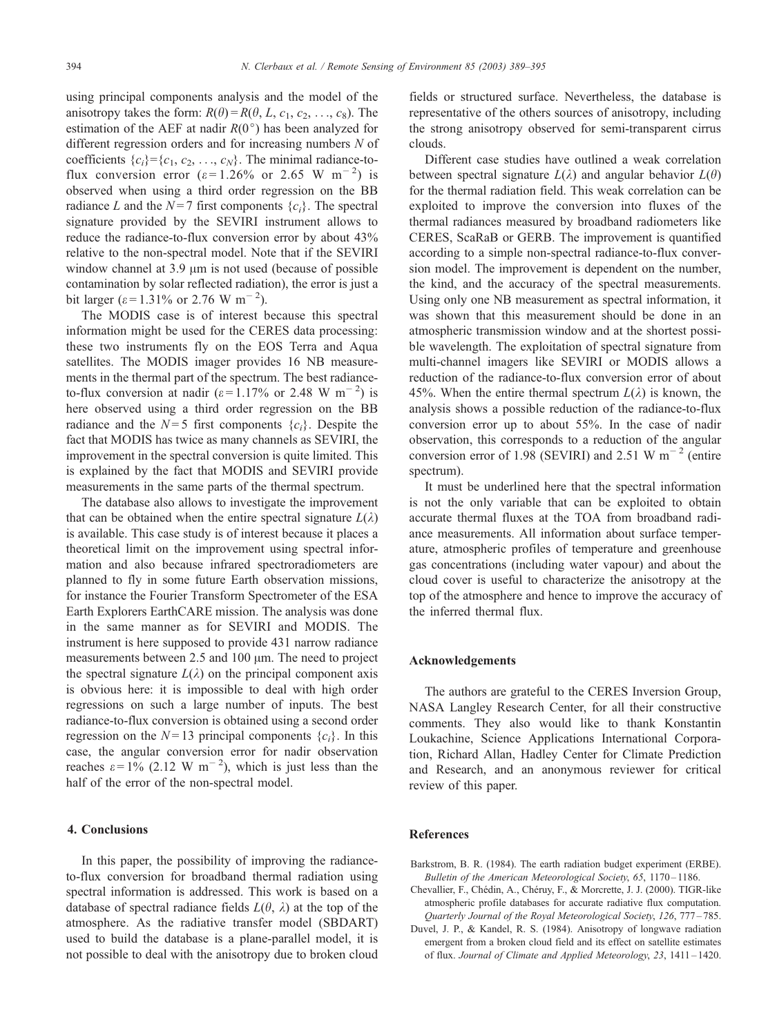<span id="page-5-0"></span>using principal components analysis and the model of the anisotropy takes the form:  $R(\theta) = R(\theta, L, c_1, c_2, \ldots, c_8)$ . The estimation of the AEF at nadir  $R(0^{\circ})$  has been analyzed for different regression orders and for increasing numbers N of coefficients  $\{c_i\} = \{c_1, c_2, \ldots, c_N\}$ . The minimal radiance-toflux conversion error ( $\varepsilon$ =1.26% or 2.65 W m<sup>-2</sup>) is observed when using a third order regression on the BB radiance L and the  $N=7$  first components  $\{c_i\}$ . The spectral signature provided by the SEVIRI instrument allows to reduce the radiance-to-flux conversion error by about 43% relative to the non-spectral model. Note that if the SEVIRI window channel at  $3.9 \mu m$  is not used (because of possible contamination by solar reflected radiation), the error is just a bit larger ( $\varepsilon$  = 1.31% or 2.76 W m<sup>-2</sup>).

The MODIS case is of interest because this spectral information might be used for the CERES data processing: these two instruments fly on the EOS Terra and Aqua satellites. The MODIS imager provides 16 NB measurements in the thermal part of the spectrum. The best radianceto-flux conversion at nadir ( $\varepsilon$  = 1.17% or 2.48 W m<sup>-2</sup>) is here observed using a third order regression on the BB radiance and the  $N=5$  first components  $\{c_i\}$ . Despite the fact that MODIS has twice as many channels as SEVIRI, the improvement in the spectral conversion is quite limited. This is explained by the fact that MODIS and SEVIRI provide measurements in the same parts of the thermal spectrum.

The database also allows to investigate the improvement that can be obtained when the entire spectral signature  $L(\lambda)$ is available. This case study is of interest because it places a theoretical limit on the improvement using spectral information and also because infrared spectroradiometers are planned to fly in some future Earth observation missions, for instance the Fourier Transform Spectrometer of the ESA Earth Explorers EarthCARE mission. The analysis was done in the same manner as for SEVIRI and MODIS. The instrument is here supposed to provide 431 narrow radiance measurements between  $2.5$  and  $100 \mu m$ . The need to project the spectral signature  $L(\lambda)$  on the principal component axis is obvious here: it is impossible to deal with high order regressions on such a large number of inputs. The best radiance-to-flux conversion is obtained using a second order regression on the  $N=13$  principal components  $\{c_i\}$ . In this case, the angular conversion error for nadir observation reaches  $\varepsilon = 1\%$  (2.12 W m<sup>-2</sup>), which is just less than the half of the error of the non-spectral model.

# 4. Conclusions

In this paper, the possibility of improving the radianceto-flux conversion for broadband thermal radiation using spectral information is addressed. This work is based on a database of spectral radiance fields  $L(\theta, \lambda)$  at the top of the atmosphere. As the radiative transfer model (SBDART) used to build the database is a plane-parallel model, it is not possible to deal with the anisotropy due to broken cloud fields or structured surface. Nevertheless, the database is representative of the others sources of anisotropy, including the strong anisotropy observed for semi-transparent cirrus clouds.

Different case studies have outlined a weak correlation between spectral signature  $L(\lambda)$  and angular behavior  $L(\theta)$ for the thermal radiation field. This weak correlation can be exploited to improve the conversion into fluxes of the thermal radiances measured by broadband radiometers like CERES, ScaRaB or GERB. The improvement is quantified according to a simple non-spectral radiance-to-flux conversion model. The improvement is dependent on the number, the kind, and the accuracy of the spectral measurements. Using only one NB measurement as spectral information, it was shown that this measurement should be done in an atmospheric transmission window and at the shortest possible wavelength. The exploitation of spectral signature from multi-channel imagers like SEVIRI or MODIS allows a reduction of the radiance-to-flux conversion error of about 45%. When the entire thermal spectrum  $L(\lambda)$  is known, the analysis shows a possible reduction of the radiance-to-flux conversion error up to about 55%. In the case of nadir observation, this corresponds to a reduction of the angular conversion error of 1.98 (SEVIRI) and 2.51 W  $\text{m}^{-2}$  (entire spectrum).

It must be underlined here that the spectral information is not the only variable that can be exploited to obtain accurate thermal fluxes at the TOA from broadband radiance measurements. All information about surface temperature, atmospheric profiles of temperature and greenhouse gas concentrations (including water vapour) and about the cloud cover is useful to characterize the anisotropy at the top of the atmosphere and hence to improve the accuracy of the inferred thermal flux.

## Acknowledgements

The authors are grateful to the CERES Inversion Group, NASA Langley Research Center, for all their constructive comments. They also would like to thank Konstantin Loukachine, Science Applications International Corporation, Richard Allan, Hadley Center for Climate Prediction and Research, and an anonymous reviewer for critical review of this paper.

## References

- Barkstrom, B. R. (1984). The earth radiation budget experiment (ERBE). Bulletin of the American Meteorological Society, 65, 1170-1186.
- Chevallier, F., Chédin, A., Chéruy, F., & Morcrette, J. J. (2000). TIGR-like atmospheric profile databases for accurate radiative flux computation. Quarterly Journal of the Royal Meteorological Society, 126, 777 – 785.
- Duvel, J. P., & Kandel, R. S. (1984). Anisotropy of longwave radiation emergent from a broken cloud field and its effect on satellite estimates of flux. Journal of Climate and Applied Meteorology, 23, 1411 – 1420.